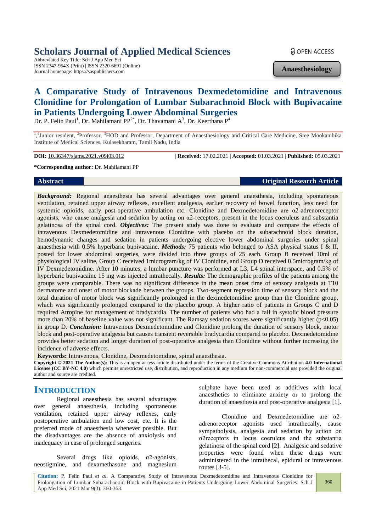# **Scholars Journal of Applied Medical Sciences**

Abbreviated Key Title: Sch J App Med Sci ISSN 2347-954X (Print) | ISSN 2320-6691 (Online) Journal homepage: https://saspublishers.com

**Anaesthesiology**

# **A Comparative Study of Intravenous Dexmedetomidine and Intravenous Clonidine for Prolongation of Lumbar Subarachnoid Block with Bupivacaine in Patients Undergoing Lower Abdominal Surgeries**

Dr. P. Felin Paul<sup>1</sup>, Dr. Mahilamani PP<sup>2\*</sup>, Dr. Thavamani A<sup>3</sup>, Dr. Keerthana P<sup>4</sup>

<sup>1,4</sup>Junior resident, <sup>2</sup>Professor, <sup>3</sup>HOD and Professor, Department of Anaesthesiology and Critical Care Medicine, Sree Mookambika Institute of Medical Sciences, Kulasekharam, Tamil Nadu, India

**DOI:** 10.36347/sjams.2021.v09i03.012 | **Received:** 17.02.2021 | **Accepted:** 01.03.2021 | **Published:** 05.03.2021

#### **\*Corresponding author:** Dr. Mahilamani PP

#### **Abstract Original Research Article**

*Background:* Regional anaesthesia has several advantages over general anaesthesia, including spontaneous ventilation, retained upper airway reflexes, excellent analgesia, earlier recovery of bowel function, less need for systemic opioids, early post-operative ambulation etc. Clonidine and Dexmedetomidine are α2-adrenoreceptor agonists, who cause analgesia and sedation by acting on α2-receptors, present in the locus coeruleus and substantia gelatinosa of the spinal cord. *Objectives:* The present study was done to evaluate and compare the effects of intravenous Dexmedetomidine and intravenous Clonidine with placebo on the subarachnoid block duration, hemodynamic changes and sedation in patients undergoing elective lower abdominal surgeries under spinal anaesthesia with 0.5% hyperbaric bupivacaine. *Methods:* 75 patients who belonged to ASA physical status I & II, posted for lower abdominal surgeries, were divided into three groups of 25 each. Group B received 10ml of physiological IV saline, Group C received 1microgram/kg of IV Clonidine, and Group D received 0.5microgram/kg of IV Dexmedetomidine. After 10 minutes, a lumbar puncture was performed at L3, L4 spinal interspace, and 0.5% of hyperbaric bupivacaine 15 mg was injected intrathecally. *Results:* The demographic profiles of the patients among the groups were comparable. There was no significant difference in the mean onset time of sensory analgesia at T10 dermatome and onset of motor blockade between the groups. Two-segment regression time of sensory block and the total duration of motor block was significantly prolonged in the dexmedetomidine group than the Clonidine group, which was significantly prolonged compared to the placebo group. A higher ratio of patients in Groups C and D required Atropine for management of bradycardia. The number of patients who had a fall in systolic blood pressure more than 20% of baseline value was not significant. The Ramsay sedation scores were significantly higher  $(p<0.05)$ in group D. *Conclusion:* Intravenous Dexmedetomidine and Clonidine prolong the duration of sensory block, motor block and post-operative analgesia but causes transient reversible bradycardia compared to placebo. Dexmedetomidine provides better sedation and longer duration of post-operative analgesia than Clonidine without further increasing the incidence of adverse effects.

**Keywords:** Intravenous, Clonidine, Dexmedetomidine, spinal anaesthesia.

**Copyright © 2021 The Author(s):** This is an open-access article distributed under the terms of the Creative Commons Attribution **4.0 International License (CC BY-NC 4.0)** which permits unrestricted use, distribution, and reproduction in any medium for non-commercial use provided the original author and source are credited.

## **INTRODUCTION**

Regional anaesthesia has several advantages over general anaesthesia, including spontaneous ventilation, retained upper airway reflexes, early postoperative ambulation and low cost, etc. It is the preferred mode of anaesthesia whenever possible. But the disadvantages are the absence of anxiolysis and inadequacy in case of prolonged surgeries.

Several drugs like opioids, α2-agonists, neostigmine, and dexamethasone and magnesium

sulphate have been used as additives with local anaesthetics to eliminate anxiety or to prolong the duration of anaesthesia and post-operative analgesia [1].

Clonidine and Dexmedetomidine are α2 adrenoreceptor agonists used intrathecally, cause sympatholysis, analgesia and sedation by action on α2receptors in locus coeruleus and the substantia gelatinosa of the spinal cord [2]. Analgesic and sedative properties were found when these drugs were administered in the intrathecal, epidural or intravenous routes [3-5].

**Citation:** P. Felin Paul *et al*. A Comparative Study of Intravenous Dexmedetomidine and Intravenous Clonidine for Prolongation of Lumbar Subarachanoid Block with Bupivacaine in Patients Undergoing Lower Abdominal Surgeries. Sch J App Med Sci, 2021 Mar 9(3): 360-363.

## **a** OPEN ACCESS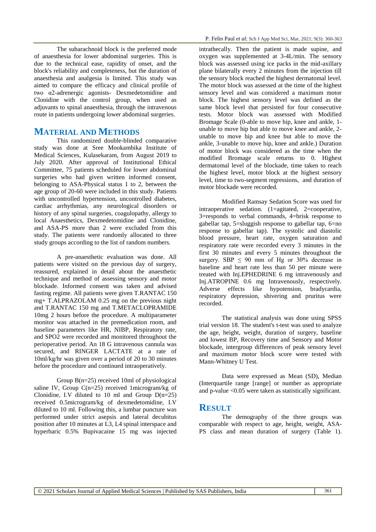The subarachnoid block is the preferred mode of anaesthesia for lower abdominal surgeries. This is due to the technical ease, rapidity of onset, and the block's reliability and completeness, but the duration of anaesthesia and analgesia is limited. This study was aimed to compare the efficacy and clinical profile of two α2-adrenergic agonists- Dexmedetomidine and Clonidine with the control group, when used as adjuvants to spinal anaesthesia, through the intravenous route in patients undergoing lower abdominal surgeries.

### **MATERIAL AND METHODS**

This randomized double-blinded comparative study was done at Sree Mookambika Institute of Medical Sciences, Kulasekaram, from August 2019 to July 2020. After approval of Institutional Ethical Committee, 75 patients scheduled for lower abdominal surgeries who had given written informed consent, belonging to ASA-Physical status 1 to 2, between the age group of 20-60 were included in this study. Patients with uncontrolled hypertension, uncontrolled diabetes, cardiac arrhythmias, any neurological disorders or history of any spinal surgeries, coagulopathy, allergy to local Anaesthetics, Dexmedetomidine and Clonidine, and ASA-PS more than 2 were excluded from this study. The patients were randomly allocated to three study groups according to the list of random numbers.

A pre-anaesthetic evaluation was done. All patients were visited on the previous day of surgery, reassured, explained in detail about the anaesthetic technique and method of assessing sensory and motor blockade. Informed consent was taken and advised fasting regime. All patients were given T.RANTAC 150 mg+ T.ALPRAZOLAM 0.25 mg on the previous night and T.RANTAC 150 mg and T.METACLOPRAMIDE 10mg 2 hours before the procedure. A multiparameter monitor was attached in the premedication room, and baseline parameters like HR, NIBP, Respiratory rate, and SPO2 were recorded and monitored throughout the perioperative period. An 18 G intravenous cannula was secured, and RINGER LACTATE at a rate of 10ml/kg/hr was given over a period of 20 to 30 minutes before the procedure and continued intraoperatively.

Group B(n=25) received 10ml of physiological saline IV, Group  $C(n=25)$  received 1microgram/kg of Clonidine, I.V diluted to 10 ml and Group  $D(n=25)$ received 0.5microgram/kg of dexmedetomidine, I.V diluted to 10 ml. Following this, a lumbar puncture was performed under strict asepsis and lateral decubitus position after 10 minutes at L3, L4 spinal interspace and hyperbaric 0.5% Bupivacaine 15 mg was injected intrathecally. Then the patient is made supine, and oxygen was supplemented at 3-4L/min. The sensory block was assessed using ice packs in the mid-axillary plane bilaterally every 2 minutes from the injection till the sensory block reached the highest dermatomal level. The motor block was assessed at the time of the highest sensory level and was considered a maximum motor block. The highest sensory level was defined as the same block level that persisted for four consecutive tests. Motor block was assessed with Modified Bromage Scale (0-able to move hip, knee and ankle, 1 unable to move hip but able to move knee and ankle, 2 unable to move hip and knee but able to move the ankle, 3-unable to move hip, knee and ankle.) Duration of motor block was considered as the time when the modified Bromage scale returns to 0. Highest dermatomal level of the blockade, time taken to reach the highest level, motor block at the highest sensory level, time to two-segment regressions, and duration of motor blockade were recorded.

Modified Ramsay Sedation Score was used for intraoperative sedation. (1=agitated, 2=cooperative, 3=responds to verbal commands, 4=brisk response to gabellar tap, 5=sluggish response to gabellar tap, 6=no response to gabellar tap). The systolic and diastolic blood pressure, heart rate, oxygen saturation and respiratory rate were recorded every 3 minutes in the first 30 minutes and every 5 minutes throughout the surgery. SBP  $\leq$  90 mm of Hg or 30% decrease in baseline and heart rate less than 50 per minute were treated with Inj.EPHEDRINE 6 mg intravenously and Inj.ATROPINE 0.6 mg Intravenously, respectively. Adverse effects like hypotension, bradycardia, respiratory depression, shivering and pruritus were recorded.

The statistical analysis was done using SPSS trial version 18. The student's t-test was used to analyze the age, height, weight, duration of surgery, baseline and lowest BP, Recovery time and Sensory and Motor blockade, intergroup differences of peak sensory level and maximum motor block score were tested with Mann-Whitney U Test.

Data were expressed as Mean (SD), Median (Interquartile range [range] or number as appropriate and p-value <0.05 were taken as statistically significant.

## **RESULT**

The demography of the three groups was comparable with respect to age, height, weight, ASA-PS class and mean duration of surgery (Table 1).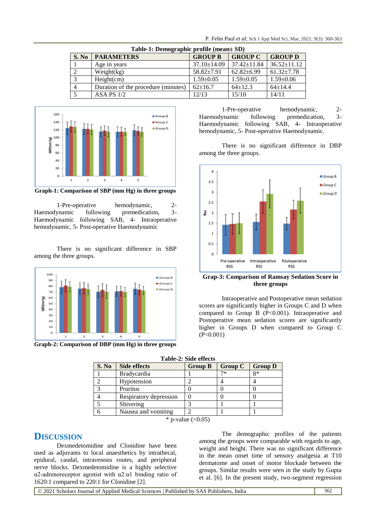| Table-1: Demographic profile (mean± SD) |       |                                     |                   |                   |                   |  |  |
|-----------------------------------------|-------|-------------------------------------|-------------------|-------------------|-------------------|--|--|
|                                         | S. No | <b>PARAMETERS</b>                   | <b>GROUP B</b>    | <b>GROUP C</b>    | <b>GROUP D</b>    |  |  |
|                                         |       | Age in years                        | $37.10 \pm 14.09$ | $37.42 \pm 11.84$ | $36.52 \pm 11.12$ |  |  |
|                                         |       | Weight(kg)                          | $58.82 \pm 7.91$  | $62.82 \pm 6.99$  | $61.32 \pm 7.78$  |  |  |
|                                         | 3     | Height(cm)                          | $1.59 \pm 0.05$   | $1.59 \pm 0.05$   | $1.59 \pm 0.06$   |  |  |
|                                         | 4     | Duration of the procedure (minutes) | $62+16.7$         | $64 \pm 12.3$     | $64 \pm 14.4$     |  |  |
|                                         |       | ASA PS $1/2$                        | 12/13             | 15/10             | 14/11             |  |  |



**Graph-1: Comparison of SBP (mm Hg) in three groups**

1-Pre-operative hemodynamic, 2- Haemodynamic following premedication, 3- Haemodynamic following SAB, 4- Intraoperative hemodynamic, 5- Post-operative Haemodynamic

There is no significant difference in SBP among the three groups.



**Graph-2: Comparison of DBP (mm Hg) in three groups**

1-Pre-operative hemodynamic, 2- Haemodynamic following premedication, 3- Haemodynamic following SAB, 4- Intraoperative hemodynamic, 5- Post-operative Haemodynamic.

There is no significant difference in DBP among the three groups.



**Grap-3: Comparison of Ramsay Sedation Score in three groups**

Intraoperative and Postoperative mean sedation scores are significantly higher in Groups C and D when compared to Group B (P<0.001). Intraoperative and Postoperative mean sedation scores are significantly higher in Groups D when compared to Group C (P<0.001)

| Table-2: Side effects |                        |                |                |                |  |  |
|-----------------------|------------------------|----------------|----------------|----------------|--|--|
| S. No                 | <b>Side effects</b>    | <b>Group B</b> | <b>Group C</b> | <b>Group D</b> |  |  |
|                       | <b>Bradycardia</b>     |                | 7*             | 8*             |  |  |
|                       | Hypotension            |                |                |                |  |  |
| っ                     | Pruritus               |                |                |                |  |  |
|                       | Respiratory depression |                |                |                |  |  |
|                       | Shivering              |                |                |                |  |  |
|                       | Nausea and vomiting    |                |                |                |  |  |
|                       |                        |                |                |                |  |  |

\* p-value  $(<0.05)$ 

## **DISCUSSION**

Dexmedetomidine and Clonidine have been used as adjuvants to local anaesthetics by intrathecal, epidural, caudal, intravenous routes, and peripheral nerve blocks. Dexmedetomidine is a highly selective α2-adrenoreceptor agonist with α2:α1 binding ratio of 1620:1 compared to 220:1 for Clonidine [2].

The demographic profiles of the patients among the groups were comparable with regards to age, weight and height. There was no significant difference in the mean onset time of sensory analgesia at T10 dermatome and onset of motor blockade between the groups. Similar results were seen in the study by Gupta et al. [6]. In the present study, two-segment regression

© 2021 Scholars Journal of Applied Medical Sciences | Published by SAS Publishers, India 362